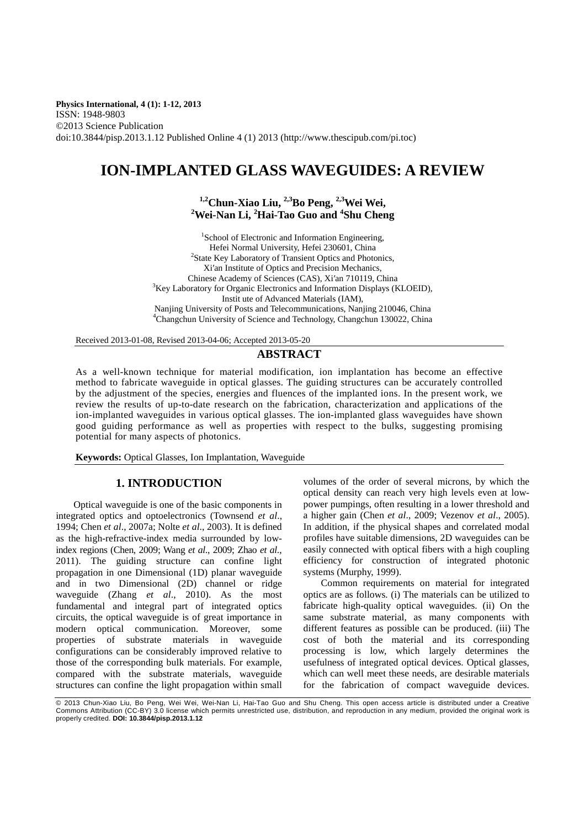**Physics International, 4 (1): 1-12, 2013** ISSN: 1948-9803 ©2013 Science Publication doi:10.3844/pisp.2013.1.12 Published Online 4 (1) 2013 (http://www.thescipub.com/pi.toc)

# **ION-IMPLANTED GLASS WAVEGUIDES: A REVIEW**

# **1,2Chun-Xiao Liu, 2,3Bo Peng, 2,3Wei Wei, <sup>2</sup>Wei-Nan Li, <sup>2</sup>Hai-Tao Guo and <sup>4</sup> Shu Cheng**

<sup>1</sup>School of Electronic and Information Engineering, Hefei Normal University, Hefei 230601, China <sup>2</sup>State Key Laboratory of Transient Optics and Photonics, Xi′an Institute of Optics and Precision Mechanics, Chinese Academy of Sciences (CAS), Xi′an 710119, China <sup>3</sup>Key Laboratory for Organic Electronics and Information Displays (KLOEID), Instit ute of Advanced Materials (IAM), Nanjing University of Posts and Telecommunications, Nanjing 210046, China <sup>4</sup>Changchun University of Science and Technology, Changchun 130022, China

Received 2013-01-08, Revised 2013-04-06; Accepted 2013-05-20

## **ABSTRACT**

As a well-known technique for material modification, ion implantation has become an effective method to fabricate waveguide in optical glasses. The guiding structures can be accurately controlled by the adjustment of the species, energies and fluences of the implanted ions. In the present work, we review the results of up-to-date research on the fabrication, characterization and applications of the ion-implanted waveguides in various optical glasses. The ion-implanted glass waveguides have shown good guiding performance as well as properties with respect to the bulks, suggesting promising potential for many aspects of photonics.

**Keywords:** Optical Glasses, Ion Implantation, Waveguide

# **1. INTRODUCTION**

 Optical waveguide is one of the basic components in integrated optics and optoelectronics (Townsend *et al*., 1994; Chen *et al*., 2007a; Nolte *et al*., 2003). It is defined as the high-refractive-index media surrounded by lowindex regions (Chen, 2009; Wang *et al*., 2009; Zhao *et al*., 2011). The guiding structure can confine light propagation in one Dimensional (1D) planar waveguide and in two Dimensional (2D) channel or ridge waveguide (Zhang *et al*., 2010). As the most fundamental and integral part of integrated optics circuits, the optical waveguide is of great importance in modern optical communication. Moreover, some properties of substrate materials in waveguide configurations can be considerably improved relative to those of the corresponding bulk materials. For example, compared with the substrate materials, waveguide structures can confine the light propagation within small

volumes of the order of several microns, by which the optical density can reach very high levels even at lowpower pumpings, often resulting in a lower threshold and a higher gain (Chen *et al*., 2009; Vezenov *et al*., 2005). In addition, if the physical shapes and correlated modal profiles have suitable dimensions, 2D waveguides can be easily connected with optical fibers with a high coupling efficiency for construction of integrated photonic systems (Murphy, 1999).

 Common requirements on material for integrated optics are as follows. (i) The materials can be utilized to fabricate high-quality optical waveguides. (ii) On the same substrate material, as many components with different features as possible can be produced. (iii) The cost of both the material and its corresponding processing is low, which largely determines the usefulness of integrated optical devices. Optical glasses, which can well meet these needs, are desirable materials for the fabrication of compact waveguide devices.

© 2013 Chun-Xiao Liu, Bo Peng, Wei Wei, Wei-Nan Li, Hai-Tao Guo and Shu Cheng. This open access article is distributed under a Creative Commons Attribution (CC-BY) 3.0 license which permits unrestricted use, distribution, and reproduction in any medium, provided the original work is properly credited. **DOI: 10.3844/pisp.2013.1.12**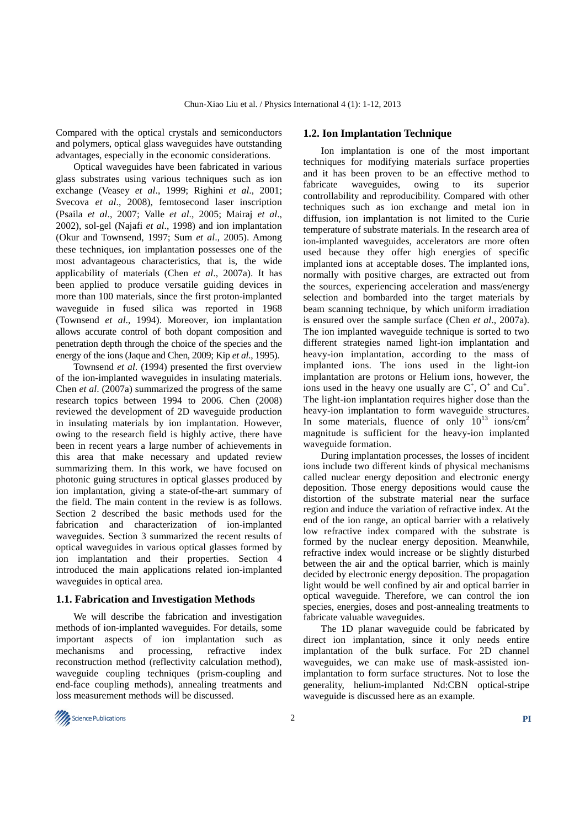Compared with the optical crystals and semiconductors and polymers, optical glass waveguides have outstanding advantages, especially in the economic considerations.

 Optical waveguides have been fabricated in various glass substrates using various techniques such as ion exchange (Veasey *et al*., 1999; Righini *et al*., 2001; Svecova *et al*., 2008), femtosecond laser inscription (Psaila *et al*., 2007; Valle *et al*., 2005; Mairaj *et al*., 2002), sol-gel (Najafi *et al*., 1998) and ion implantation (Okur and Townsend, 1997; Sum *et al*., 2005). Among these techniques, ion implantation possesses one of the most advantageous characteristics, that is, the wide applicability of materials (Chen *et al*., 2007a). It has been applied to produce versatile guiding devices in more than 100 materials, since the first proton-implanted waveguide in fused silica was reported in 1968 (Townsend *et al*., 1994). Moreover, ion implantation allows accurate control of both dopant composition and penetration depth through the choice of the species and the energy of the ions (Jaque and Chen, 2009; Kip *et al*., 1995).

 Townsend *et al*. (1994) presented the first overview of the ion-implanted waveguides in insulating materials. Chen *et al*. (2007a) summarized the progress of the same research topics between 1994 to 2006. Chen (2008) reviewed the development of 2D waveguide production in insulating materials by ion implantation. However, owing to the research field is highly active, there have been in recent years a large number of achievements in this area that make necessary and updated review summarizing them. In this work, we have focused on photonic guing structures in optical glasses produced by ion implantation, giving a state-of-the-art summary of the field. The main content in the review is as follows. Section 2 described the basic methods used for the fabrication and characterization of ion-implanted waveguides. Section 3 summarized the recent results of optical waveguides in various optical glasses formed by ion implantation and their properties. Section 4 introduced the main applications related ion-implanted waveguides in optical area.

#### **1.1. Fabrication and Investigation Methods**

 We will describe the fabrication and investigation methods of ion-implanted waveguides. For details, some important aspects of ion implantation such as mechanisms and processing, refractive index reconstruction method (reflectivity calculation method), waveguide coupling techniques (prism-coupling and end-face coupling methods), annealing treatments and loss measurement methods will be discussed.

#### **1.2. Ion Implantation Technique**

 Ion implantation is one of the most important techniques for modifying materials surface properties and it has been proven to be an effective method to fabricate waveguides, owing to its superior controllability and reproducibility. Compared with other techniques such as ion exchange and metal ion in diffusion, ion implantation is not limited to the Curie temperature of substrate materials. In the research area of ion-implanted waveguides, accelerators are more often used because they offer high energies of specific implanted ions at acceptable doses. The implanted ions, normally with positive charges, are extracted out from the sources, experiencing acceleration and mass/energy selection and bombarded into the target materials by beam scanning technique, by which uniform irradiation is ensured over the sample surface (Chen *et al*., 2007a). The ion implanted waveguide technique is sorted to two different strategies named light-ion implantation and heavy-ion implantation, according to the mass of implanted ions. The ions used in the light-ion implantation are protons or Helium ions, however, the ions used in the heavy one usually are  $C^+$ ,  $O^+$  and  $Cu^+$ . The light-ion implantation requires higher dose than the heavy-ion implantation to form waveguide structures. In some materials, fluence of only  $10^{13}$  ions/cm<sup>2</sup> magnitude is sufficient for the heavy-ion implanted waveguide formation.

 During implantation processes, the losses of incident ions include two different kinds of physical mechanisms called nuclear energy deposition and electronic energy deposition. Those energy depositions would cause the distortion of the substrate material near the surface region and induce the variation of refractive index. At the end of the ion range, an optical barrier with a relatively low refractive index compared with the substrate is formed by the nuclear energy deposition. Meanwhile, refractive index would increase or be slightly disturbed between the air and the optical barrier, which is mainly decided by electronic energy deposition. The propagation light would be well confined by air and optical barrier in optical waveguide. Therefore, we can control the ion species, energies, doses and post-annealing treatments to fabricate valuable waveguides.

 The 1D planar waveguide could be fabricated by direct ion implantation, since it only needs entire implantation of the bulk surface. For 2D channel waveguides, we can make use of mask-assisted ionimplantation to form surface structures. Not to lose the generality, helium-implanted Nd:CBN optical-stripe waveguide is discussed here as an example.

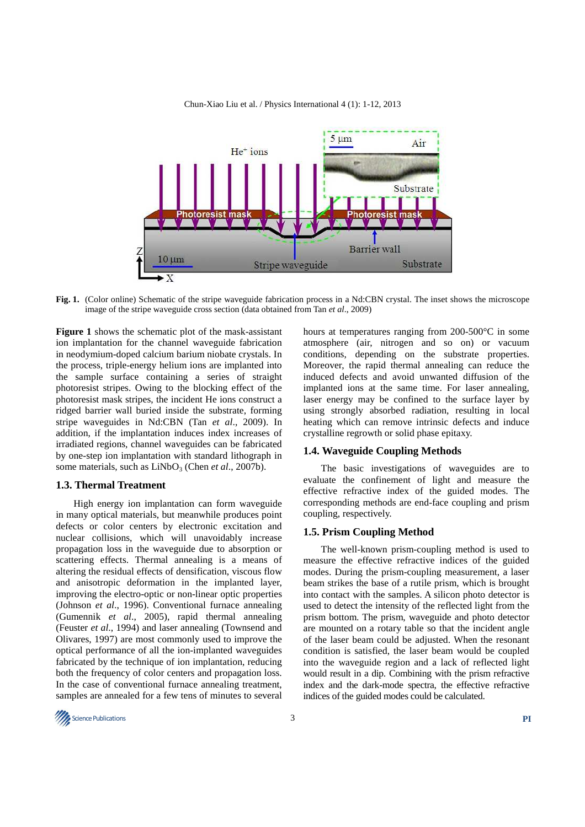

#### Chun-Xiao Liu et al. / Physics International 4 (1): 1-12, 2013

**Fig. 1.** (Color online) Schematic of the stripe waveguide fabrication process in a Nd:CBN crystal. The inset shows the microscope image of the stripe waveguide cross section (data obtained from Tan *et al*., 2009)

Stripe waveguide

**Figure 1** shows the schematic plot of the mask-assistant ion implantation for the channel waveguide fabrication in neodymium-doped calcium barium niobate crystals. In the process, triple-energy helium ions are implanted into the sample surface containing a series of straight photoresist stripes. Owing to the blocking effect of the photoresist mask stripes, the incident He ions construct a ridged barrier wall buried inside the substrate, forming stripe waveguides in Nd:CBN (Tan *et al*., 2009). In addition, if the implantation induces index increases of irradiated regions, channel waveguides can be fabricated by one-step ion implantation with standard lithograph in some materials, such as LiNbO<sub>3</sub> (Chen *et al.*, 2007b).

 $0 \, \text{µm}$ 

#### **1.3. Thermal Treatment**

 High energy ion implantation can form waveguide in many optical materials, but meanwhile produces point defects or color centers by electronic excitation and nuclear collisions, which will unavoidably increase propagation loss in the waveguide due to absorption or scattering effects. Thermal annealing is a means of altering the residual effects of densification, viscous flow and anisotropic deformation in the implanted layer, improving the electro-optic or non-linear optic properties (Johnson *et al*., 1996). Conventional furnace annealing (Gumennik *et al*., 2005), rapid thermal annealing (Feuster *et al*., 1994) and laser annealing (Townsend and Olivares, 1997) are most commonly used to improve the optical performance of all the ion-implanted waveguides fabricated by the technique of ion implantation, reducing both the frequency of color centers and propagation loss. In the case of conventional furnace annealing treatment, samples are annealed for a few tens of minutes to several

hours at temperatures ranging from 200-500°C in some atmosphere (air, nitrogen and so on) or vacuum conditions, depending on the substrate properties. Moreover, the rapid thermal annealing can reduce the induced defects and avoid unwanted diffusion of the implanted ions at the same time. For laser annealing, laser energy may be confined to the surface layer by using strongly absorbed radiation, resulting in local heating which can remove intrinsic defects and induce crystalline regrowth or solid phase epitaxy.

Substrate

## **1.4. Waveguide Coupling Methods**

 The basic investigations of waveguides are to evaluate the confinement of light and measure the effective refractive index of the guided modes. The corresponding methods are end-face coupling and prism coupling, respectively.

#### **1.5. Prism Coupling Method**

 The well-known prism-coupling method is used to measure the effective refractive indices of the guided modes. During the prism-coupling measurement, a laser beam strikes the base of a rutile prism, which is brought into contact with the samples. A silicon photo detector is used to detect the intensity of the reflected light from the prism bottom. The prism, waveguide and photo detector are mounted on a rotary table so that the incident angle of the laser beam could be adjusted. When the resonant condition is satisfied, the laser beam would be coupled into the waveguide region and a lack of reflected light would result in a dip. Combining with the prism refractive index and the dark-mode spectra, the effective refractive indices of the guided modes could be calculated.

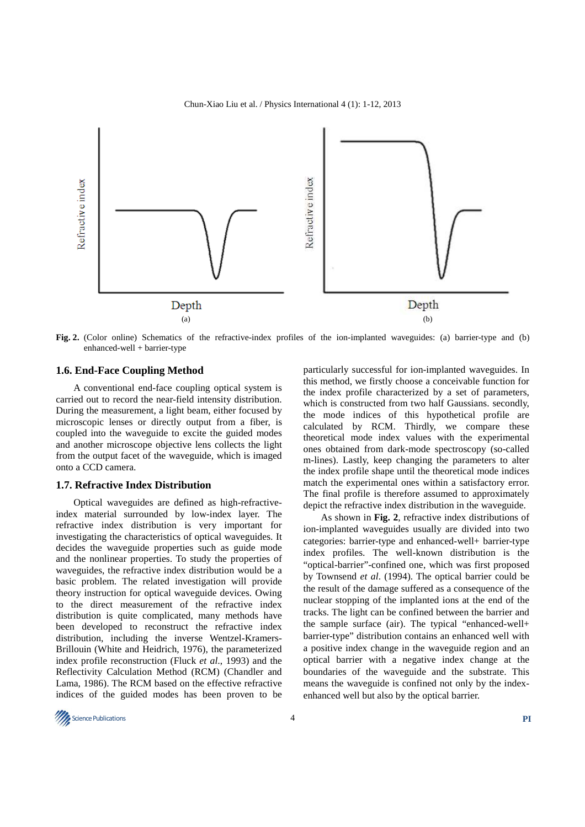Chun-Xiao Liu et al. / Physics International 4 (1): 1-12, 2013



**Fig. 2.** (Color online) Schematics of the refractive-index profiles of the ion-implanted waveguides: (a) barrier-type and (b) enhanced-well + barrier-type

#### **1.6. End-Face Coupling Method**

 A conventional end-face coupling optical system is carried out to record the near-field intensity distribution. During the measurement, a light beam, either focused by microscopic lenses or directly output from a fiber, is coupled into the waveguide to excite the guided modes and another microscope objective lens collects the light from the output facet of the waveguide, which is imaged onto a CCD camera.

## **1.7. Refractive Index Distribution**

 Optical waveguides are defined as high-refractiveindex material surrounded by low-index layer. The refractive index distribution is very important for investigating the characteristics of optical waveguides. It decides the waveguide properties such as guide mode and the nonlinear properties. To study the properties of waveguides, the refractive index distribution would be a basic problem. The related investigation will provide theory instruction for optical waveguide devices. Owing to the direct measurement of the refractive index distribution is quite complicated, many methods have been developed to reconstruct the refractive index distribution, including the inverse Wentzel-Kramers-Brillouin (White and Heidrich, 1976), the parameterized index profile reconstruction (Fluck *et al*., 1993) and the Reflectivity Calculation Method (RCM) (Chandler and Lama, 1986). The RCM based on the effective refractive indices of the guided modes has been proven to be particularly successful for ion-implanted waveguides. In this method, we firstly choose a conceivable function for the index profile characterized by a set of parameters, which is constructed from two half Gaussians. secondly, the mode indices of this hypothetical profile are calculated by RCM. Thirdly, we compare these theoretical mode index values with the experimental ones obtained from dark-mode spectroscopy (so-called m-lines). Lastly, keep changing the parameters to alter the index profile shape until the theoretical mode indices match the experimental ones within a satisfactory error. The final profile is therefore assumed to approximately depict the refractive index distribution in the waveguide.

 As shown in **Fig. 2**, refractive index distributions of ion-implanted waveguides usually are divided into two categories: barrier-type and enhanced-well+ barrier-type index profiles. The well-known distribution is the "optical-barrier"-confined one, which was first proposed by Townsend *et al*. (1994). The optical barrier could be the result of the damage suffered as a consequence of the nuclear stopping of the implanted ions at the end of the tracks. The light can be confined between the barrier and the sample surface (air). The typical "enhanced-well+ barrier-type" distribution contains an enhanced well with a positive index change in the waveguide region and an optical barrier with a negative index change at the boundaries of the waveguide and the substrate. This means the waveguide is confined not only by the indexenhanced well but also by the optical barrier.

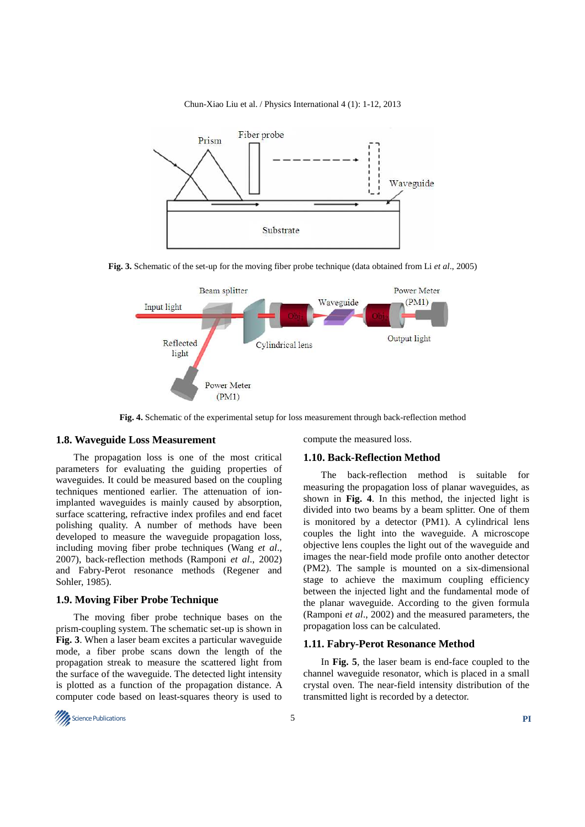Chun-Xiao Liu et al. / Physics International 4 (1): 1-12, 2013







**Fig. 4.** Schematic of the experimental setup for loss measurement through back-reflection method

#### **1.8. Waveguide Loss Measurement**

 The propagation loss is one of the most critical parameters for evaluating the guiding properties of waveguides. It could be measured based on the coupling techniques mentioned earlier. The attenuation of ionimplanted waveguides is mainly caused by absorption, surface scattering, refractive index profiles and end facet polishing quality. A number of methods have been developed to measure the waveguide propagation loss, including moving fiber probe techniques (Wang *et al*., 2007), back-reflection methods (Ramponi *et al*., 2002) and Fabry-Perot resonance methods (Regener and Sohler, 1985).

# **1.9. Moving Fiber Probe Technique**

 The moving fiber probe technique bases on the prism-coupling system. The schematic set-up is shown in **Fig. 3**. When a laser beam excites a particular waveguide mode, a fiber probe scans down the length of the propagation streak to measure the scattered light from the surface of the waveguide. The detected light intensity is plotted as a function of the propagation distance. A computer code based on least-squares theory is used to

compute the measured loss.

#### **1.10. Back-Reflection Method**

 The back-reflection method is suitable for measuring the propagation loss of planar waveguides, as shown in **Fig. 4**. In this method, the injected light is divided into two beams by a beam splitter. One of them is monitored by a detector (PM1). A cylindrical lens couples the light into the waveguide. A microscope objective lens couples the light out of the waveguide and images the near-field mode profile onto another detector (PM2). The sample is mounted on a six-dimensional stage to achieve the maximum coupling efficiency between the injected light and the fundamental mode of the planar waveguide. According to the given formula (Ramponi *et al*., 2002) and the measured parameters, the propagation loss can be calculated.

#### **1.11. Fabry-Perot Resonance Method**

 In **Fig. 5**, the laser beam is end-face coupled to the channel waveguide resonator, which is placed in a small crystal oven. The near-field intensity distribution of the transmitted light is recorded by a detector.

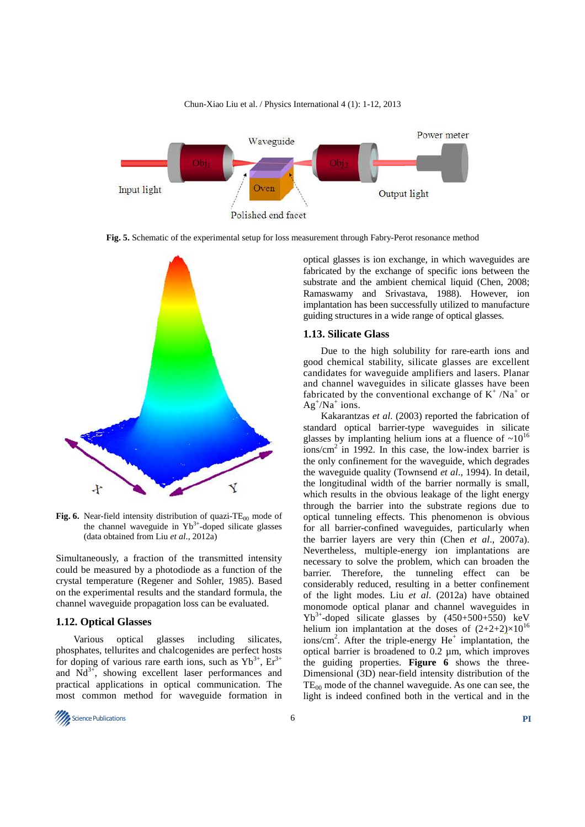

Chun-Xiao Liu et al. / Physics International 4 (1): 1-12, 2013

**Fig. 5.** Schematic of the experimental setup for loss measurement through Fabry-Perot resonance method



**Fig. 6.** Near-field intensity distribution of quazi-TE<sub>00</sub> mode of the channel waveguide in  $Yb^{3+}$ -doped silicate glasses (data obtained from Liu *et al*., 2012a)

Simultaneously, a fraction of the transmitted intensity could be measured by a photodiode as a function of the crystal temperature (Regener and Sohler, 1985). Based on the experimental results and the standard formula, the channel waveguide propagation loss can be evaluated.

# **1.12. Optical Glasses**

 Various optical glasses including silicates, phosphates, tellurites and chalcogenides are perfect hosts for doping of various rare earth ions, such as  $Yb^{3+}$ ,  $Er^{3+}$ and  $Nd^{3+}$ , showing excellent laser performances and practical applications in optical communication. The most common method for waveguide formation in

optical glasses is ion exchange, in which waveguides are fabricated by the exchange of specific ions between the substrate and the ambient chemical liquid (Chen, 2008; Ramaswamy and Srivastava, 1988). However, ion implantation has been successfully utilized to manufacture guiding structures in a wide range of optical glasses.

#### **1.13. Silicate Glass**

 Due to the high solubility for rare-earth ions and good chemical stability, silicate glasses are excellent candidates for waveguide amplifiers and lasers. Planar and channel waveguides in silicate glasses have been fabricated by the conventional exchange of  $K^+$  /Na<sup>+</sup> or  $Ag^{\dagger}/Na^{\dagger}$  ions.

 Kakarantzas *et al*. (2003) reported the fabrication of standard optical barrier-type waveguides in silicate glasses by implanting helium ions at a fluence of  $\sim 10^{16}$ ions/cm<sup>2</sup> in 1992. In this case, the low-index barrier is the only confinement for the waveguide, which degrades the waveguide quality (Townsend *et al*., 1994). In detail, the longitudinal width of the barrier normally is small, which results in the obvious leakage of the light energy through the barrier into the substrate regions due to optical tunneling effects. This phenomenon is obvious for all barrier-confined waveguides, particularly when the barrier layers are very thin (Chen *et al*., 2007a). Nevertheless, multiple-energy ion implantations are necessary to solve the problem, which can broaden the barrier. Therefore, the tunneling effect can be considerably reduced, resulting in a better confinement of the light modes. Liu *et al*. (2012a) have obtained monomode optical planar and channel waveguides in  $Yb^{3+}$ -doped silicate glasses by  $(450+500+550)$  keV helium ion implantation at the doses of  $(2+2+2)\times10^{16}$  $\frac{\text{N}}{\text{N}}$ . After the triple-energy  $\text{He}^+$  implantation, the optical barrier is broadened to 0.2 µm, which improves the guiding properties. **Figure 6** shows the three-Dimensional (3D) near-field intensity distribution of the  $TE_{00}$  mode of the channel waveguide. As one can see, the light is indeed confined both in the vertical and in the

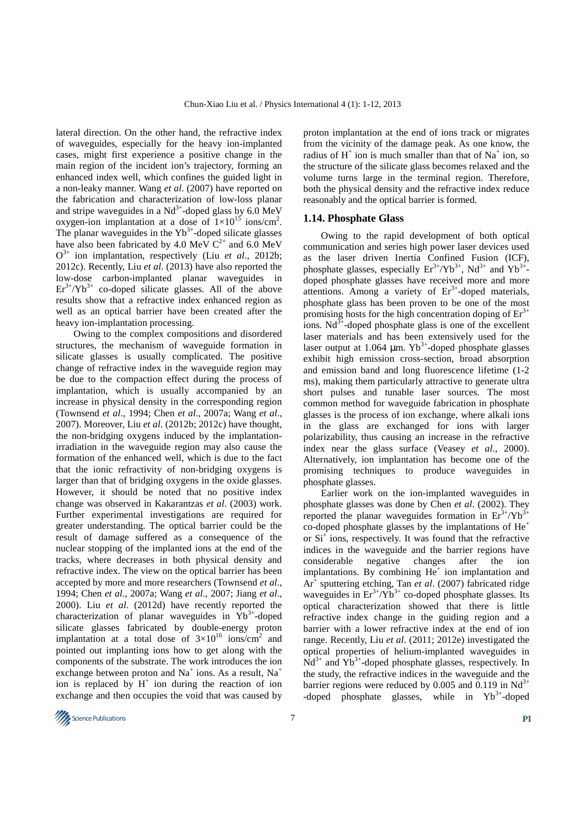lateral direction. On the other hand, the refractive index of waveguides, especially for the heavy ion-implanted cases, might first experience a positive change in the main region of the incident ion's trajectory, forming an enhanced index well, which confines the guided light in a non-leaky manner. Wang *et al*. (2007) have reported on the fabrication and characterization of low-loss planar and stripe waveguides in a  $Nd^{3+}$ -doped glass by 6.0 MeV oxygen-ion implantation at a dose of  $1\times10^{15}$  ions/cm<sup>2</sup>. The planar waveguides in the  $Yb^{3+}$ -doped silicate glasses have also been fabricated by 4.0 MeV  $C^{2+}$  and 6.0 MeV O 3+ ion implantation, respectively (Liu *et al*., 2012b; 2012c). Recently, Liu *et al.* (2013) have also reported the low-dose carbon-implanted planar waveguides in  $Er^{3+}/Yb^{3+}$  co-doped silicate glasses. All of the above results show that a refractive index enhanced region as well as an optical barrier have been created after the heavy ion-implantation processing.

 Owing to the complex compositions and disordered structures, the mechanism of waveguide formation in silicate glasses is usually complicated. The positive change of refractive index in the waveguide region may be due to the compaction effect during the process of implantation, which is usually accompanied by an increase in physical density in the corresponding region (Townsend *et al*., 1994; Chen *et al*., 2007a; Wang *et al*., 2007). Moreover, Liu *et al*. (2012b; 2012c) have thought, the non-bridging oxygens induced by the implantationirradiation in the waveguide region may also cause the formation of the enhanced well, which is due to the fact that the ionic refractivity of non-bridging oxygens is larger than that of bridging oxygens in the oxide glasses. However, it should be noted that no positive index change was observed in Kakarantzas *et al*. (2003) work. Further experimental investigations are required for greater understanding. The optical barrier could be the result of damage suffered as a consequence of the nuclear stopping of the implanted ions at the end of the tracks, where decreases in both physical density and refractive index. The view on the optical barrier has been accepted by more and more researchers (Townsend *et al*., 1994; Chen *et al*., 2007a; Wang *et al*., 2007; Jiang *et al*., 2000). Liu *et al*. (2012d) have recently reported the characterization of planar waveguides in  $Yb^{3+}$ -doped silicate glasses fabricated by double-energy proton implantation at a total dose of  $3\times10^{16}$  ions/cm<sup>2</sup> and pointed out implanting ions how to get along with the components of the substrate. The work introduces the ion exchange between proton and Na<sup>+</sup> ions. As a result, Na<sup>+</sup> ion is replaced by  $H^+$  ion during the reaction of ion exchange and then occupies the void that was caused by

proton implantation at the end of ions track or migrates from the vicinity of the damage peak. As one know, the radius of  $H^+$  ion is much smaller than that of Na<sup>+</sup> ion, so the structure of the silicate glass becomes relaxed and the volume turns large in the terminal region. Therefore, both the physical density and the refractive index reduce reasonably and the optical barrier is formed.

#### **1.14. Phosphate Glass**

 Owing to the rapid development of both optical communication and series high power laser devices used as the laser driven Inertia Confined Fusion (ICF), phosphate glasses, especially  $Er^{3+}/Yb^{3+}$ , Nd<sup>3+</sup> and Yb<sup>3+</sup>doped phosphate glasses have received more and more attentions. Among a variety of  $Er^{3+}$ -doped materials, phosphate glass has been proven to be one of the most promising hosts for the high concentration doping of  $Er^{3+}$ ions.  $Nd^{3+}$ -doped phosphate glass is one of the excellent laser materials and has been extensively used for the laser output at 1.064  $\mu$ m. Yb<sup>3+</sup>-doped phosphate glasses exhibit high emission cross-section, broad absorption and emission band and long fluorescence lifetime (1-2 ms), making them particularly attractive to generate ultra short pulses and tunable laser sources. The most common method for waveguide fabrication in phosphate glasses is the process of ion exchange, where alkali ions in the glass are exchanged for ions with larger polarizability, thus causing an increase in the refractive index near the glass surface (Veasey *et al*., 2000). Alternatively, ion implantation has become one of the promising techniques to produce waveguides in phosphate glasses.

 Earlier work on the ion-implanted waveguides in phosphate glasses was done by Chen *et al*. (2002). They reported the planar waveguides formation in  $Er^{3+}/Yb^{3+}$ co-doped phosphate glasses by the implantations of  $He<sup>+</sup>$ or Si<sup>+</sup> ions, respectively. It was found that the refractive indices in the waveguide and the barrier regions have considerable negative changes after the ion implantations. By combining He<sup>+</sup> ion implantation and Ar<sup>+</sup> sputtering etching, Tan *et al*. (2007) fabricated ridge waveguides in  $Er^{3+}/Yb^{3+}$  co-doped phosphate glasses. Its optical characterization showed that there is little refractive index change in the guiding region and a barrier with a lower refractive index at the end of ion range. Recently, Liu *et al*. (2011; 2012e) investigated the optical properties of helium-implanted waveguides in  $Nd^{3+}$  and  $Yb^{3+}$ -doped phosphate glasses, respectively. In the study, the refractive indices in the waveguide and the barrier regions were reduced by 0.005 and 0.119 in  $Nd^{3+}$ -doped phosphate glasses, while in  $Yb^{3+}$ -doped

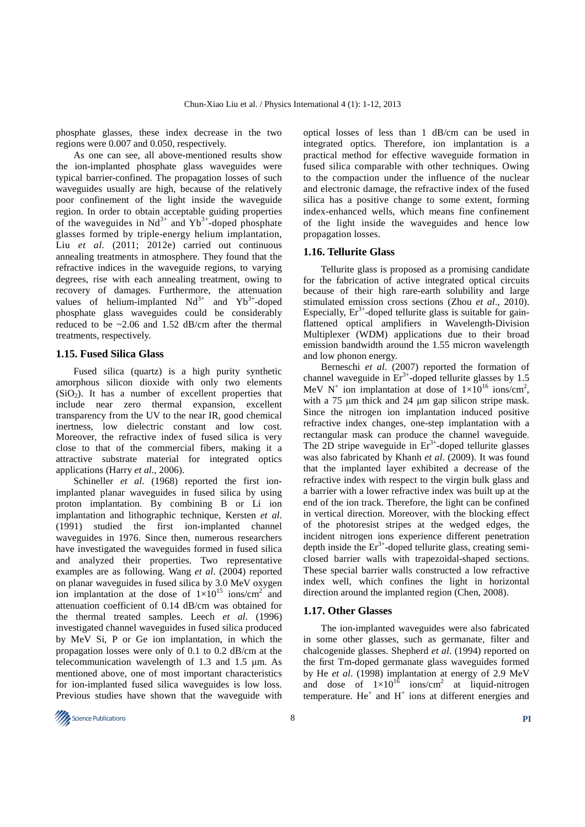phosphate glasses, these index decrease in the two regions were 0.007 and 0.050, respectively.

 As one can see, all above-mentioned results show the ion-implanted phosphate glass waveguides were typical barrier-confined. The propagation losses of such waveguides usually are high, because of the relatively poor confinement of the light inside the waveguide region. In order to obtain acceptable guiding properties of the waveguides in  $Nd^{3+}$  and  $Yb^{3+}$ -doped phosphate glasses formed by triple-energy helium implantation, Liu *et al*. (2011; 2012e) carried out continuous annealing treatments in atmosphere. They found that the refractive indices in the waveguide regions, to varying degrees, rise with each annealing treatment, owing to recovery of damages. Furthermore, the attenuation values of helium-implanted  $Nd^{3+}$  and  $Yb^{3+}$ -doped phosphate glass waveguides could be considerably reduced to be ~2.06 and 1.52 dB/cm after the thermal treatments, respectively.

## **1.15. Fused Silica Glass**

 Fused silica (quartz) is a high purity synthetic amorphous silicon dioxide with only two elements  $(SiO<sub>2</sub>)$ . It has a number of excellent properties that include near zero thermal expansion, excellent transparency from the UV to the near IR, good chemical inertness, low dielectric constant and low cost. Moreover, the refractive index of fused silica is very close to that of the commercial fibers, making it a attractive substrate material for integrated optics applications (Harry *et al*., 2006).

 Schineller *et al*. (1968) reported the first ionimplanted planar waveguides in fused silica by using proton implantation. By combining B or Li ion implantation and lithographic technique, Kersten *et al*. (1991) studied the first ion-implanted channel waveguides in 1976. Since then, numerous researchers have investigated the waveguides formed in fused silica and analyzed their properties. Two representative examples are as following. Wang *et al*. (2004) reported on planar waveguides in fused silica by 3.0 MeV oxygen ion implantation at the dose of  $1 \times 10^{15}$  ions/cm<sup>2</sup> and attenuation coefficient of 0.14 dB/cm was obtained for the thermal treated samples. Leech *et al*. (1996) investigated channel waveguides in fused silica produced by MeV Si, P or Ge ion implantation, in which the propagation losses were only of 0.1 to 0.2 dB/cm at the telecommunication wavelength of 1.3 and 1.5 µm. As mentioned above, one of most important characteristics for ion-implanted fused silica waveguides is low loss. Previous studies have shown that the waveguide with

optical losses of less than 1 dB/cm can be used in integrated optics. Therefore, ion implantation is a practical method for effective waveguide formation in fused silica comparable with other techniques. Owing to the compaction under the influence of the nuclear and electronic damage, the refractive index of the fused silica has a positive change to some extent, forming index-enhanced wells, which means fine confinement of the light inside the waveguides and hence low propagation losses.

# **1.16. Tellurite Glass**

 Tellurite glass is proposed as a promising candidate for the fabrication of active integrated optical circuits because of their high rare-earth solubility and large stimulated emission cross sections (Zhou *et al*., 2010). Especially,  $Er<sup>3+</sup>$ -doped tellurite glass is suitable for gainflattened optical amplifiers in Wavelength-Division Multiplexer (WDM) applications due to their broad emission bandwidth around the 1.55 micron wavelength and low phonon energy.

 Berneschi *et al*. (2007) reported the formation of channel waveguide in  $Er^{3+}$ -doped tellurite glasses by 1.5 MeV N<sup>+</sup> ion implantation at dose of  $1\times10^{16}$  ions/cm<sup>2</sup>, with a 75 µm thick and 24 µm gap silicon stripe mask. Since the nitrogen ion implantation induced positive refractive index changes, one-step implantation with a rectangular mask can produce the channel waveguide. The 2D stripe waveguide in  $Er^{3+}$ -doped tellurite glasses was also fabricated by Khanh *et al*. (2009). It was found that the implanted layer exhibited a decrease of the refractive index with respect to the virgin bulk glass and a barrier with a lower refractive index was built up at the end of the ion track. Therefore, the light can be confined in vertical direction. Moreover, with the blocking effect of the photoresist stripes at the wedged edges, the incident nitrogen ions experience different penetration depth inside the  $Er^{3+}$ -doped tellurite glass, creating semiclosed barrier walls with trapezoidal-shaped sections. These special barrier walls constructed a low refractive index well, which confines the light in horizontal direction around the implanted region (Chen, 2008).

#### **1.17. Other Glasses**

 The ion-implanted waveguides were also fabricated in some other glasses, such as germanate, filter and chalcogenide glasses. Shepherd *et al*. (1994) reported on the first Tm-doped germanate glass waveguides formed by He *et al*. (1998) implantation at energy of 2.9 MeV and dose of  $1 \times 10^{16}$  ions/cm<sup>2</sup> at liquid-nitrogen temperature.  $He^+$  and  $H^+$  ions at different energies and

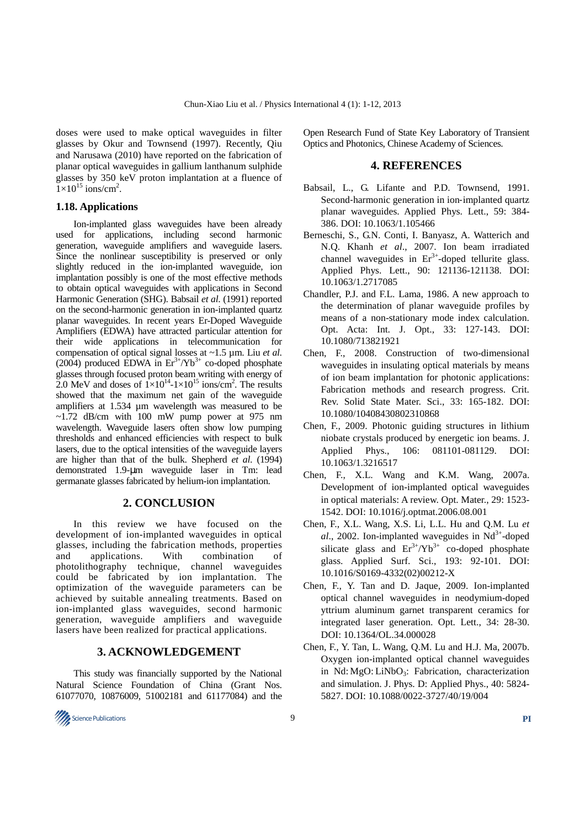doses were used to make optical waveguides in filter glasses by Okur and Townsend (1997). Recently, Qiu and Narusawa (2010) have reported on the fabrication of planar optical waveguides in gallium lanthanum sulphide glasses by 350 keV proton implantation at a fluence of  $1\times10^{15}$  ions/cm<sup>2</sup>.

# **1.18. Applications**

 Ion-implanted glass waveguides have been already used for applications, including second harmonic generation, waveguide amplifiers and waveguide lasers. Since the nonlinear susceptibility is preserved or only slightly reduced in the ion-implanted waveguide, ion implantation possibly is one of the most effective methods to obtain optical waveguides with applications in Second Harmonic Generation (SHG). Babsail *et al*. (1991) reported on the second-harmonic generation in ion-implanted quartz planar waveguides. In recent years Er-Doped Waveguide Amplifiers (EDWA) have attracted particular attention for their wide applications in telecommunication for compensation of optical signal losses at ~1.5 µm. Liu *et al*. (2004) produced EDWA in  $Er^{3+}/Yb^{3+}$  co-doped phosphate glasses through focused proton beam writing with energy of 2.0 MeV and doses of  $1 \times 10^{14}$ -1 $\times 10^{15}$  ions/cm<sup>2</sup>. The results showed that the maximum net gain of the waveguide amplifiers at 1.534 µm wavelength was measured to be  $\sim$ 1.72 dB/cm with 100 mW pump power at 975 nm wavelength. Waveguide lasers often show low pumping thresholds and enhanced efficiencies with respect to bulk lasers, due to the optical intensities of the waveguide layers are higher than that of the bulk. Shepherd *et al*. (1994) demonstrated 1.9-µm waveguide laser in Tm: lead germanate glasses fabricated by helium-ion implantation.

# **2. CONCLUSION**

 In this review we have focused on the development of ion-implanted waveguides in optical glasses, including the fabrication methods, properties and applications. With combination of photolithography technique, channel waveguides could be fabricated by ion implantation. The optimization of the waveguide parameters can be achieved by suitable annealing treatments. Based on ion-implanted glass waveguides, second harmonic generation, waveguide amplifiers and waveguide lasers have been realized for practical applications.

#### **3. ACKNOWLEDGEMENT**

 This study was financially supported by the National Natural Science Foundation of China (Grant Nos. 61077070, 10876009, 51002181 and 61177084) and the



Open Research Fund of State Key Laboratory of Transient Optics and Photonics, Chinese Academy of Sciences.

# **4. REFERENCES**

- Babsail, L., G. Lifante and P.D. Townsend, 1991. Second-harmonic generation in ion-implanted quartz planar waveguides. Applied Phys. Lett., 59: 384- 386. DOI: 10.1063/1.105466
- Berneschi, S., G.N. Conti, I. Banyasz, A. Watterich and N.Q. Khanh *et al*., 2007. Ion beam irradiated channel waveguides in  $Er<sup>3+</sup>$ -doped tellurite glass. Applied Phys. Lett., 90: 121136-121138. DOI: 10.1063/1.2717085
- Chandler, P.J. and F.L. Lama, 1986. A new approach to the determination of planar waveguide profiles by means of a non-stationary mode index calculation. Opt. Acta: Int. J. Opt., 33: 127-143. DOI: 10.1080/713821921
- Chen, F., 2008. Construction of two-dimensional waveguides in insulating optical materials by means of ion beam implantation for photonic applications: Fabrication methods and research progress. Crit. Rev. Solid State Mater. Sci., 33: 165-182. DOI: 10.1080/10408430802310868
- Chen, F., 2009. Photonic guiding structures in lithium niobate crystals produced by energetic ion beams. J. Applied Phys., 106: 081101-081129. DOI: 10.1063/1.3216517
- Chen, F., X.L. Wang and K.M. Wang, 2007a. Development of ion-implanted optical waveguides in optical materials: A review. Opt. Mater., 29: 1523- 1542. DOI: 10.1016/j.optmat.2006.08.001
- Chen, F., X.L. Wang, X.S. Li, L.L. Hu and Q.M. Lu *et*   $al$ , 2002. Ion-implanted waveguides in  $Nd<sup>3+</sup>$ -doped silicate glass and  $Er^{3+}/Yb^{3+}$  co-doped phosphate glass. Applied Surf. Sci., 193: 92-101. DOI: 10.1016/S0169-4332(02)00212-X
- Chen, F., Y. Tan and D. Jaque, 2009. Ion-implanted optical channel waveguides in neodymium-doped yttrium aluminum garnet transparent ceramics for integrated laser generation. Opt. Lett., 34: 28-30. DOI: 10.1364/OL.34.000028
- Chen, F., Y. Tan, L. Wang, Q.M. Lu and H.J. Ma, 2007b. Oxygen ion-implanted optical channel waveguides in Nd:  $MgO$ : LiNbO<sub>3</sub>: Fabrication, characterization and simulation. J. Phys. D: Applied Phys., 40: 5824- 5827. DOI: 10.1088/0022-3727/40/19/004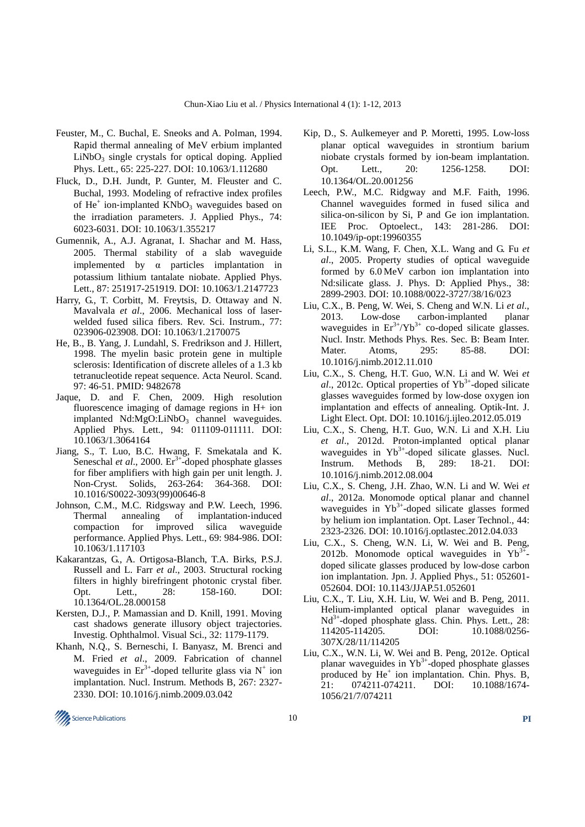- Feuster, M., C. Buchal, E. Sneoks and A. Polman, 1994. Rapid thermal annealing of MeV erbium implanted  $LiNbO<sub>3</sub>$  single crystals for optical doping. Applied Phys. Lett., 65: 225-227. DOI: 10.1063/1.112680
- Fluck, D., D.H. Jundt, P. Gunter, M. Fleuster and C. Buchal, 1993. Modeling of refractive index profiles of  $He^+$  ion-implanted KNbO<sub>3</sub> waveguides based on the irradiation parameters. J. Applied Phys., 74: 6023-6031. DOI: 10.1063/1.355217
- Gumennik, A., A.J. Agranat, I. Shachar and M. Hass, 2005. Thermal stability of a slab waveguide implemented by  $\alpha$  particles implantation in potassium lithium tantalate niobate. Applied Phys. Lett., 87: 251917-251919. DOI: 10.1063/1.2147723
- Harry, G., T. Corbitt, M. Freytsis, D. Ottaway and N. Mavalvala *et al*., 2006. Mechanical loss of laserwelded fused silica fibers. Rev. Sci. Instrum., 77: 023906-023908. DOI: 10.1063/1.2170075
- He, B., B. Yang, J. Lundahl, S. Fredrikson and J. Hillert, 1998. The myelin basic protein gene in multiple sclerosis: Identification of discrete alleles of a 1.3 kb tetranucleotide repeat sequence. Acta Neurol. Scand. 97: 46-51. PMID: 9482678
- Jaque, D. and F. Chen, 2009. High resolution fluorescence imaging of damage regions in H+ ion implanted  $Nd:MgO:LiNbO<sub>3</sub>$  channel waveguides. Applied Phys. Lett., 94: 011109-011111. DOI: 10.1063/1.3064164
- Jiang, S., T. Luo, B.C. Hwang, F. Smekatala and K. Seneschal et al., 2000. Er<sup>3+</sup>-doped phosphate glasses for fiber amplifiers with high gain per unit length. J. Non-Cryst. Solids, 263-264: 364-368. DOI: 10.1016/S0022-3093(99)00646-8
- Johnson, C.M., M.C. Ridgsway and P.W. Leech, 1996. Thermal annealing of implantation-induced compaction for improved silica waveguide performance. Applied Phys. Lett., 69: 984-986. DOI: 10.1063/1.117103
- Kakarantzas, G., A. Ortigosa-Blanch, T.A. Birks, P.S.J. Russell and L. Farr *et al*., 2003. Structural rocking filters in highly birefringent photonic crystal fiber. Opt. Lett., 28: 158-160. DOI: 10.1364/OL.28.000158
- Kersten, D.J., P. Mamassian and D. Knill, 1991. Moving cast shadows generate illusory object trajectories. Investig. Ophthalmol. Visual Sci., 32: 1179-1179.
- Khanh, N.Q., S. Berneschi, I. Banyasz, M. Brenci and M. Fried *et al*., 2009. Fabrication of channel waveguides in  $Er^{3+}$ -doped tellurite glass via  $N^+$  ion implantation. Nucl. Instrum. Methods B, 267: 2327- 2330. DOI: 10.1016/j.nimb.2009.03.042
- Kip, D., S. Aulkemeyer and P. Moretti, 1995. Low-loss planar optical waveguides in strontium barium niobate crystals formed by ion-beam implantation. Opt. Lett., 20: 1256-1258. DOI: 10.1364/OL.20.001256
- Leech, P.W., M.C. Ridgway and M.F. Faith, 1996. Channel waveguides formed in fused silica and silica-on-silicon by Si, P and Ge ion implantation. IEE Proc. Optoelect., 143: 281-286. DOI: 10.1049/ip-opt:19960355
- Li, S.L., K.M. Wang, F. Chen, X.L. Wang and G. Fu *et al*., 2005. Property studies of optical waveguide formed by 6.0 MeV carbon ion implantation into Nd:silicate glass. J. Phys. D: Applied Phys., 38: 2899-2903. DOI: 10.1088/0022-3727/38/16/023
- Liu, C.X., B. Peng, W. Wei, S. Cheng and W.N. Li *et al*., 2013. Low-dose carbon-implanted planar waveguides in  $Er^{3+}/Yb^{3+}$  co-doped silicate glasses. Nucl. Instr. Methods Phys. Res. Sec. B: Beam Inter. Mater. Atoms, 295: 85-88. DOI: 10.1016/j.nimb.2012.11.010
- Liu, C.X., S. Cheng, H.T. Guo, W.N. Li and W. Wei *et al.*, 2012c. Optical properties of Yb<sup>3+</sup>-doped silicate glasses waveguides formed by low-dose oxygen ion implantation and effects of annealing. Optik-Int. J. Light Elect. Opt. DOI: 10.1016/j.ijleo.2012.05.019
- Liu, C.X., S. Cheng, H.T. Guo, W.N. Li and X.H. Liu *et al*., 2012d. Proton-implanted optical planar waveguides in  $Yb^{3+}$ -doped silicate glasses. Nucl. Instrum. Methods B, 289: 18-21. DOI: 10.1016/j.nimb.2012.08.004
- Liu, C.X., S. Cheng, J.H. Zhao, W.N. Li and W. Wei *et al*., 2012a. Monomode optical planar and channel waveguides in  $Yb^{3+}$ -doped silicate glasses formed by helium ion implantation. Opt. Laser Technol., 44: 2323-2326. DOI: 10.1016/j.optlastec.2012.04.033
- Liu, C.X., S. Cheng, W.N. Li, W. Wei and B. Peng, 2012b. Monomode optical waveguides in  $Yb^{3+}$ doped silicate glasses produced by low-dose carbon ion implantation. Jpn. J. Applied Phys., 51: 052601- 052604. DOI: 10.1143/JJAP.51.052601
- Liu, C.X., T. Liu, X.H. Liu, W. Wei and B. Peng, 2011. Helium-implanted optical planar waveguides in  $Nd^{3+}$ -doped phosphate glass. Chin. Phys. Lett., 28: 114205-114205. DOI: 10.1088/0256- 307X/28/11/114205
- Liu, C.X., W.N. Li, W. Wei and B. Peng, 2012e. Optical planar waveguides in  $Yb^{3+}$ -doped phosphate glasses produced by He<sup>+</sup> ion implantation. Chin. Phys. B, 21: 074211-074211. DOI: 10.1088/1674- 1056/21/7/074211

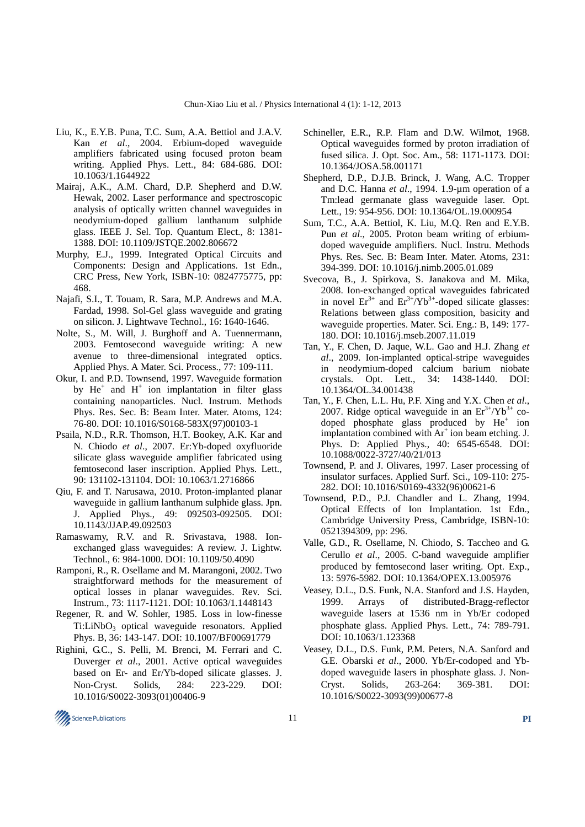- Liu, K., E.Y.B. Puna, T.C. Sum, A.A. Bettiol and J.A.V. Kan *et al*., 2004. Erbium-doped waveguide amplifiers fabricated using focused proton beam writing. Applied Phys. Lett., 84: 684-686. DOI: 10.1063/1.1644922
- Mairaj, A.K., A.M. Chard, D.P. Shepherd and D.W. Hewak, 2002. Laser performance and spectroscopic analysis of optically written channel waveguides in neodymium-doped gallium lanthanum sulphide glass. IEEE J. Sel. Top. Quantum Elect., 8: 1381- 1388. DOI: 10.1109/JSTQE.2002.806672
- Murphy, E.J., 1999. Integrated Optical Circuits and Components: Design and Applications. 1st Edn., CRC Press, New York, ISBN-10: 0824775775, pp: 468.
- Najafi, S.I., T. Touam, R. Sara, M.P. Andrews and M.A. Fardad, 1998. Sol-Gel glass waveguide and grating on silicon. J. Lightwave Technol., 16: 1640-1646.
- Nolte, S., M. Will, J. Burghoff and A. Tuennermann, 2003. Femtosecond waveguide writing: A new avenue to three-dimensional integrated optics. Applied Phys. A Mater. Sci. Process., 77: 109-111.
- Okur, I. and P.D. Townsend, 1997. Waveguide formation by He<sup>+</sup> and H<sup>+</sup> ion implantation in filter glass containing nanoparticles. Nucl. Instrum. Methods Phys. Res. Sec. B: Beam Inter. Mater. Atoms, 124: 76-80. DOI: 10.1016/S0168-583X(97)00103-1
- Psaila, N.D., R.R. Thomson, H.T. Bookey, A.K. Kar and N. Chiodo *et al*., 2007. Er:Yb-doped oxyfluoride silicate glass waveguide amplifier fabricated using femtosecond laser inscription. Applied Phys. Lett., 90: 131102-131104. DOI: 10.1063/1.2716866
- Qiu, F. and T. Narusawa, 2010. Proton-implanted planar waveguide in gallium lanthanum sulphide glass. Jpn. J. Applied Phys., 49: 092503-092505. DOI: 10.1143/JJAP.49.092503
- Ramaswamy, R.V. and R. Srivastava, 1988. Ionexchanged glass waveguides: A review. J. Lightw. Technol., 6: 984-1000. DOI: 10.1109/50.4090
- Ramponi, R., R. Osellame and M. Marangoni, 2002. Two straightforward methods for the measurement of optical losses in planar waveguides. Rev. Sci. Instrum., 73: 1117-1121. DOI: 10.1063/1.1448143
- Regener, R. and W. Sohler, 1985. Loss in low-finesse  $Ti:LiNbO<sub>3</sub>$  optical waveguide resonators. Applied Phys. B, 36: 143-147. DOI: 10.1007/BF00691779
- Righini, G.C., S. Pelli, M. Brenci, M. Ferrari and C. Duverger *et al*., 2001. Active optical waveguides based on Er- and Er/Yb-doped silicate glasses. J. Non-Cryst. Solids, 284: 223-229. DOI: 10.1016/S0022-3093(01)00406-9
- Schineller, E.R., R.P. Flam and D.W. Wilmot, 1968. Optical waveguides formed by proton irradiation of fused silica. J. Opt. Soc. Am., 58: 1171-1173. DOI: 10.1364/JOSA.58.001171
- Shepherd, D.P., D.J.B. Brinck, J. Wang, A.C. Tropper and D.C. Hanna *et al*., 1994. 1.9-µm operation of a Tm:lead germanate glass waveguide laser. Opt. Lett., 19: 954-956. DOI: 10.1364/OL.19.000954
- Sum, T.C., A.A. Bettiol, K. Liu, M.Q. Ren and E.Y.B. Pun *et al*., 2005. Proton beam writing of erbiumdoped waveguide amplifiers. Nucl. Instru. Methods Phys. Res. Sec. B: Beam Inter. Mater. Atoms, 231: 394-399. DOI: 10.1016/j.nimb.2005.01.089
- Svecova, B., J. Spirkova, S. Janakova and M. Mika, 2008. Ion-exchanged optical waveguides fabricated in novel  $Er^{3+}$  and  $Er^{3+}/Yb^{3+}$ -doped silicate glasses: Relations between glass composition, basicity and waveguide properties. Mater. Sci. Eng.: B, 149: 177- 180. DOI: 10.1016/j.mseb.2007.11.019
- Tan, Y., F. Chen, D. Jaque, W.L. Gao and H.J. Zhang *et al*., 2009. Ion-implanted optical-stripe waveguides in neodymium-doped calcium barium niobate crystals. Opt. Lett., 34: 1438-1440. DOI: 10.1364/OL.34.001438
- Tan, Y., F. Chen, L.L. Hu, P.F. Xing and Y.X. Chen *et al*., 2007. Ridge optical waveguide in an  $Er^{3+}/Yb^{3+}$  codoped phosphate glass produced by He<sup>+</sup> ion implantation combined with  $Ar^+$  ion beam etching. J. Phys. D: Applied Phys., 40: 6545-6548. DOI: 10.1088/0022-3727/40/21/013
- Townsend, P. and J. Olivares, 1997. Laser processing of insulator surfaces. Applied Surf. Sci., 109-110: 275- 282. DOI: 10.1016/S0169-4332(96)00621-6
- Townsend, P.D., P.J. Chandler and L. Zhang, 1994. Optical Effects of Ion Implantation. 1st Edn., Cambridge University Press, Cambridge, ISBN-10: 0521394309, pp: 296.
- Valle, G.D., R. Osellame, N. Chiodo, S. Taccheo and G. Cerullo *et al*., 2005. C-band waveguide amplifier produced by femtosecond laser writing. Opt. Exp., 13: 5976-5982. DOI: 10.1364/OPEX.13.005976
- Veasey, D.L., D.S. Funk, N.A. Stanford and J.S. Hayden, 1999. Arrays of distributed-Bragg-reflector waveguide lasers at 1536 nm in Yb/Er codoped phosphate glass. Applied Phys. Lett., 74: 789-791. DOI: 10.1063/1.123368
- Veasey, D.L., D.S. Funk, P.M. Peters, N.A. Sanford and G.E. Obarski *et al*., 2000. Yb/Er-codoped and Ybdoped waveguide lasers in phosphate glass. J. Non-Cryst. Solids, 263-264: 369-381. DOI: 10.1016/S0022-3093(99)00677-8